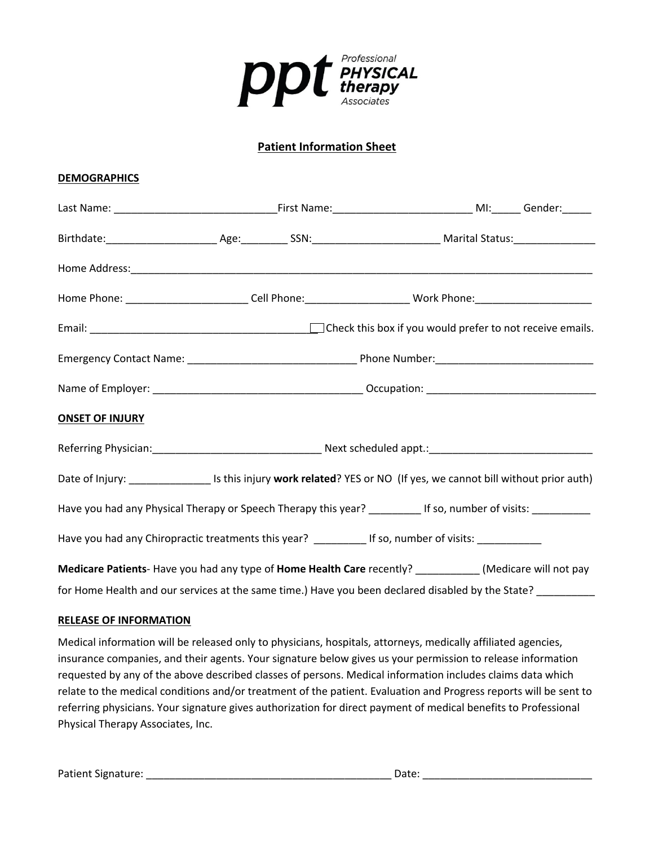

# **Patient Information Sheet**

#### **DEMOGRAPHICS**

|                        | Home Phone: __________________________Cell Phone:__________________________Work Phone:________________________          |  |  |  |  |
|------------------------|-------------------------------------------------------------------------------------------------------------------------|--|--|--|--|
|                        |                                                                                                                         |  |  |  |  |
|                        |                                                                                                                         |  |  |  |  |
|                        |                                                                                                                         |  |  |  |  |
| <b>ONSET OF INJURY</b> |                                                                                                                         |  |  |  |  |
|                        |                                                                                                                         |  |  |  |  |
|                        | Date of Injury: ____________________ Is this injury work related? YES or NO (If yes, we cannot bill without prior auth) |  |  |  |  |
|                        | Have you had any Physical Therapy or Speech Therapy this year? _________ If so, number of visits: __________            |  |  |  |  |
|                        | Have you had any Chiropractic treatments this year? ____________ If so, number of visits: ______________                |  |  |  |  |
|                        | Medicare Patients- Have you had any type of Home Health Care recently? ___________ (Medicare will not pay               |  |  |  |  |
|                        | for Home Health and our services at the same time.) Have you been declared disabled by the State?                       |  |  |  |  |

## **RELEASE OF INFORMATION**

Medical information will be released only to physicians, hospitals, attorneys, medically affiliated agencies, insurance companies, and their agents. Your signature below gives us your permission to release information requested by any of the above described classes of persons. Medical information includes claims data which relate to the medical conditions and/or treatment of the patient. Evaluation and Progress reports will be sent to referring physicians. Your signature gives authorization for direct payment of medical benefits to Professional Physical Therapy Associates, Inc.

Patient Signature: \_\_\_\_\_\_\_\_\_\_\_\_\_\_\_\_\_\_\_\_\_\_\_\_\_\_\_\_\_\_\_\_\_\_\_\_\_\_\_\_\_\_ Date: \_\_\_\_\_\_\_\_\_\_\_\_\_\_\_\_\_\_\_\_\_\_\_\_\_\_\_\_\_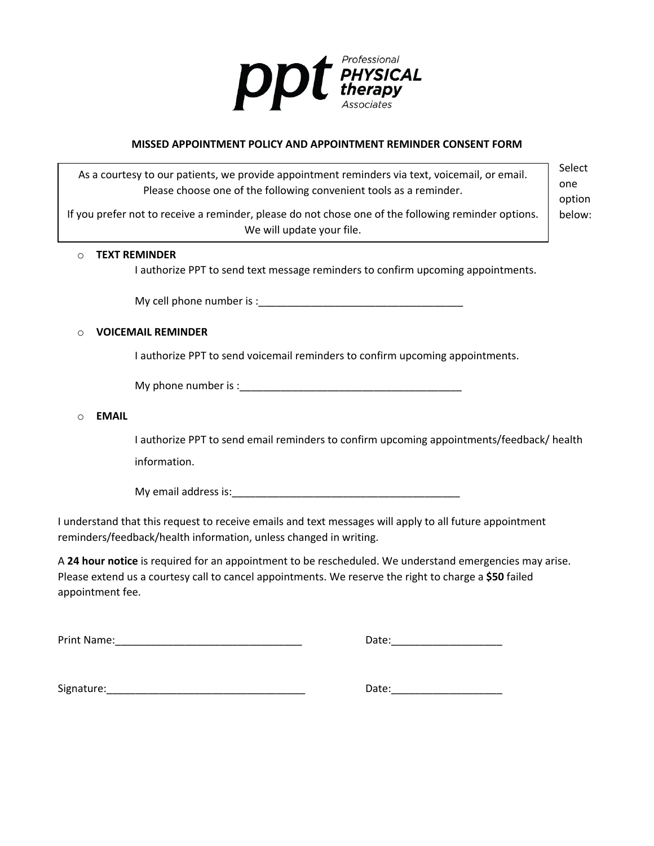

#### **MISSED APPOINTMENT POLICY AND APPOINTMENT REMINDER CONSENT FORM**

As a courtesy to our patients, we provide appointment reminders via text, voicemail, or email. Please choose one of the following convenient tools as a reminder.

If you prefer not to receive a reminder, please do not chose one of the following reminder options. We will update your file.

Select one option below:

# o **TEXT REMINDER**

I authorize PPT to send text message reminders to confirm upcoming appointments.

My cell phone number is :\_\_\_\_\_\_\_\_\_\_\_\_\_\_\_\_\_\_\_\_\_\_\_\_\_\_\_\_\_\_\_\_\_\_\_

#### o **VOICEMAIL REMINDER**

I authorize PPT to send voicemail reminders to confirm upcoming appointments.

My phone number is :\_\_\_\_\_\_\_\_\_\_\_\_\_\_\_\_\_\_\_\_\_\_\_\_\_\_\_\_\_\_\_\_\_\_\_\_\_\_

#### o **EMAIL**

I authorize PPT to send email reminders to confirm upcoming appointments/feedback/ health information.

My email address is:  $\blacksquare$ 

I understand that this request to receive emails and text messages will apply to all future appointment reminders/feedback/health information, unless changed in writing.

A **24 hour notice** is required for an appointment to be rescheduled. We understand emergencies may arise. Please extend us a courtesy call to cancel appointments. We reserve the right to charge a **\$50** failed appointment fee.

| <b>Print Name:</b> |  |  |  |  |
|--------------------|--|--|--|--|
|--------------------|--|--|--|--|

 $Date:$ 

Signature:\_\_\_\_\_\_\_\_\_\_\_\_\_\_\_\_\_\_\_\_\_\_\_\_\_\_\_\_\_\_\_\_\_\_ Date:\_\_\_\_\_\_\_\_\_\_\_\_\_\_\_\_\_\_\_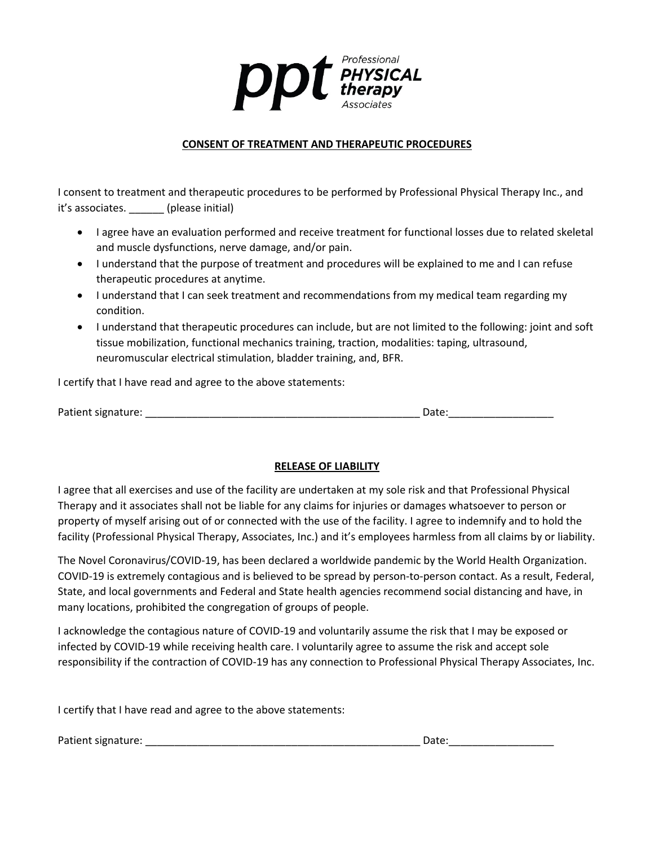

## **CONSENT OF TREATMENT AND THERAPEUTIC PROCEDURES**

I consent to treatment and therapeutic procedures to be performed by Professional Physical Therapy Inc., and it's associates. \_\_\_\_\_\_ (please initial)

- I agree have an evaluation performed and receive treatment for functional losses due to related skeletal and muscle dysfunctions, nerve damage, and/or pain.
- I understand that the purpose of treatment and procedures will be explained to me and I can refuse therapeutic procedures at anytime.
- I understand that I can seek treatment and recommendations from my medical team regarding my condition.
- I understand that therapeutic procedures can include, but are not limited to the following: joint and soft tissue mobilization, functional mechanics training, traction, modalities: taping, ultrasound, neuromuscular electrical stimulation, bladder training, and, BFR.

I certify that I have read and agree to the above statements:

| Patient signature: | Date: |
|--------------------|-------|
|                    |       |

#### **RELEASE OF LIABILITY**

I agree that all exercises and use of the facility are undertaken at my sole risk and that Professional Physical Therapy and it associates shall not be liable for any claims for injuries or damages whatsoever to person or property of myself arising out of or connected with the use of the facility. I agree to indemnify and to hold the facility (Professional Physical Therapy, Associates, Inc.) and it's employees harmless from all claims by or liability.

The Novel Coronavirus/COVID-19, has been declared a worldwide pandemic by the World Health Organization. COVID-19 is extremely contagious and is believed to be spread by person-to-person contact. As a result, Federal, State, and local governments and Federal and State health agencies recommend social distancing and have, in many locations, prohibited the congregation of groups of people.

I acknowledge the contagious nature of COVID-19 and voluntarily assume the risk that I may be exposed or infected by COVID-19 while receiving health care. I voluntarily agree to assume the risk and accept sole responsibility if the contraction of COVID-19 has any connection to Professional Physical Therapy Associates, Inc.

I certify that I have read and agree to the above statements:

Patient signature: \_\_\_\_\_\_\_\_\_\_\_\_\_\_\_\_\_\_\_\_\_\_\_\_\_\_\_\_\_\_\_\_\_\_\_\_\_\_\_\_\_\_\_\_\_\_\_ Date:\_\_\_\_\_\_\_\_\_\_\_\_\_\_\_\_\_\_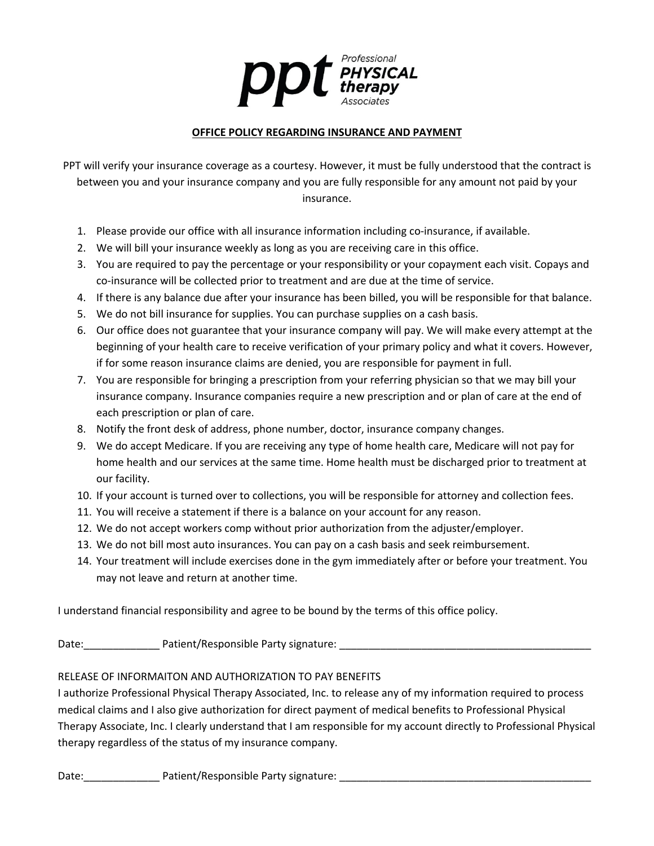

## **OFFICE POLICY REGARDING INSURANCE AND PAYMENT**

PPT will verify your insurance coverage as a courtesy. However, it must be fully understood that the contract is between you and your insurance company and you are fully responsible for any amount not paid by your insurance.

- 1. Please provide our office with all insurance information including co-insurance, if available.
- 2. We will bill your insurance weekly as long as you are receiving care in this office.
- 3. You are required to pay the percentage or your responsibility or your copayment each visit. Copays and co-insurance will be collected prior to treatment and are due at the time of service.
- 4. If there is any balance due after your insurance has been billed, you will be responsible for that balance.
- 5. We do not bill insurance for supplies. You can purchase supplies on a cash basis.
- 6. Our office does not guarantee that your insurance company will pay. We will make every attempt at the beginning of your health care to receive verification of your primary policy and what it covers. However, if for some reason insurance claims are denied, you are responsible for payment in full.
- 7. You are responsible for bringing a prescription from your referring physician so that we may bill your insurance company. Insurance companies require a new prescription and or plan of care at the end of each prescription or plan of care.
- 8. Notify the front desk of address, phone number, doctor, insurance company changes.
- 9. We do accept Medicare. If you are receiving any type of home health care, Medicare will not pay for home health and our services at the same time. Home health must be discharged prior to treatment at our facility.
- 10. If your account is turned over to collections, you will be responsible for attorney and collection fees.
- 11. You will receive a statement if there is a balance on your account for any reason.
- 12. We do not accept workers comp without prior authorization from the adjuster/employer.
- 13. We do not bill most auto insurances. You can pay on a cash basis and seek reimbursement.
- 14. Your treatment will include exercises done in the gym immediately after or before your treatment. You may not leave and return at another time.

I understand financial responsibility and agree to be bound by the terms of this office policy.

Date:\_\_\_\_\_\_\_\_\_\_\_\_\_ Patient/Responsible Party signature: \_\_\_\_\_\_\_\_\_\_\_\_\_\_\_\_\_\_\_\_\_\_\_\_\_\_\_\_\_\_\_\_\_\_\_\_\_\_\_\_\_\_\_

## RELEASE OF INFORMAITON AND AUTHORIZATION TO PAY BENEFITS

I authorize Professional Physical Therapy Associated, Inc. to release any of my information required to process medical claims and I also give authorization for direct payment of medical benefits to Professional Physical Therapy Associate, Inc. I clearly understand that I am responsible for my account directly to Professional Physical therapy regardless of the status of my insurance company.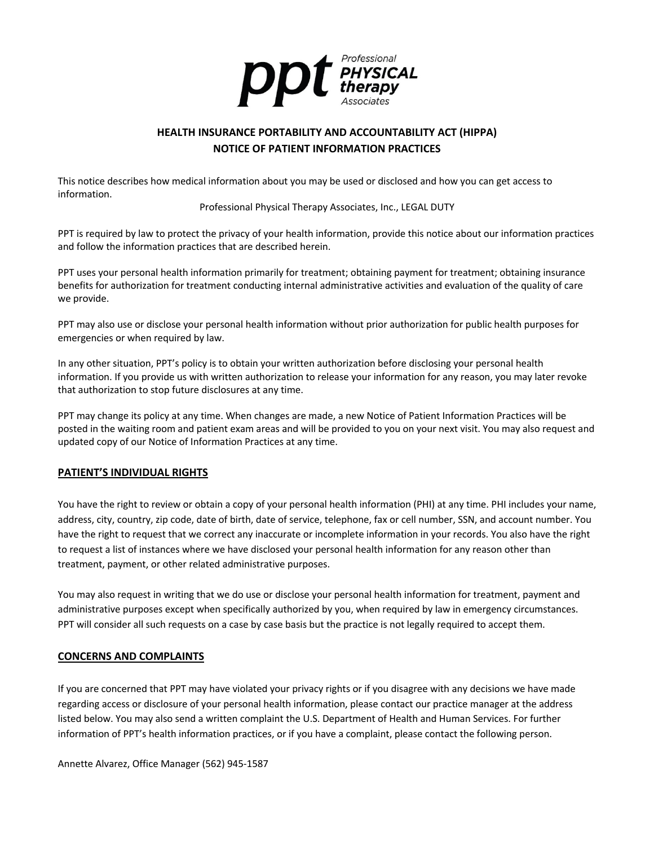

# **HEALTH INSURANCE PORTABILITY AND ACCOUNTABILITY ACT (HIPPA) NOTICE OF PATIENT INFORMATION PRACTICES**

This notice describes how medical information about you may be used or disclosed and how you can get access to information.

Professional Physical Therapy Associates, Inc., LEGAL DUTY

PPT is required by law to protect the privacy of your health information, provide this notice about our information practices and follow the information practices that are described herein.

PPT uses your personal health information primarily for treatment; obtaining payment for treatment; obtaining insurance benefits for authorization for treatment conducting internal administrative activities and evaluation of the quality of care we provide.

PPT may also use or disclose your personal health information without prior authorization for public health purposes for emergencies or when required by law.

In any other situation, PPT's policy is to obtain your written authorization before disclosing your personal health information. If you provide us with written authorization to release your information for any reason, you may later revoke that authorization to stop future disclosures at any time.

PPT may change its policy at any time. When changes are made, a new Notice of Patient Information Practices will be posted in the waiting room and patient exam areas and will be provided to you on your next visit. You may also request and updated copy of our Notice of Information Practices at any time.

## **PATIENT'S INDIVIDUAL RIGHTS**

You have the right to review or obtain a copy of your personal health information (PHI) at any time. PHI includes your name, address, city, country, zip code, date of birth, date of service, telephone, fax or cell number, SSN, and account number. You have the right to request that we correct any inaccurate or incomplete information in your records. You also have the right to request a list of instances where we have disclosed your personal health information for any reason other than treatment, payment, or other related administrative purposes.

You may also request in writing that we do use or disclose your personal health information for treatment, payment and administrative purposes except when specifically authorized by you, when required by law in emergency circumstances. PPT will consider all such requests on a case by case basis but the practice is not legally required to accept them.

#### **CONCERNS AND COMPLAINTS**

If you are concerned that PPT may have violated your privacy rights or if you disagree with any decisions we have made regarding access or disclosure of your personal health information, please contact our practice manager at the address listed below. You may also send a written complaint the U.S. Department of Health and Human Services. For further information of PPT's health information practices, or if you have a complaint, please contact the following person.

Annette Alvarez, Office Manager (562) 945-1587